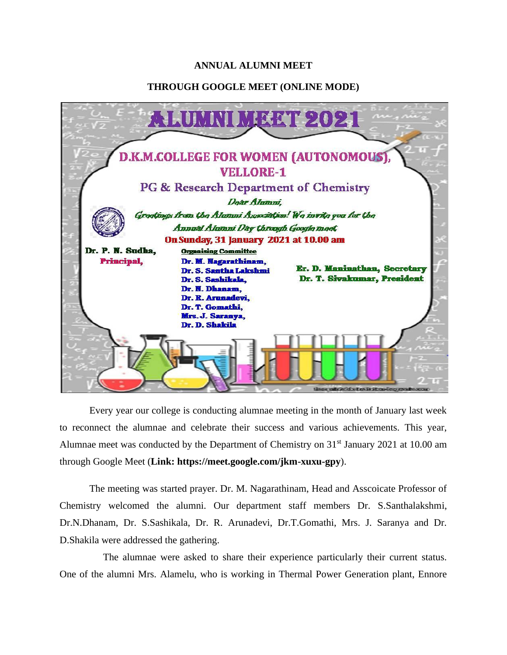## **ANNUAL ALUMNI MEET**

## **THROUGH GOOGLE MEET (ONLINE MODE)**



Every year our college is conducting alumnae meeting in the month of January last week to reconnect the alumnae and celebrate their success and various achievements. This year, Alumnae meet was conducted by the Department of Chemistry on 31<sup>st</sup> January 2021 at 10.00 am through Google Meet (**Link: https://meet.google.com/jkm-xuxu-gpy**).

The meeting was started prayer. Dr. M. Nagarathinam, Head and Asscoicate Professor of Chemistry welcomed the alumni. Our department staff members Dr. S.Santhalakshmi, Dr.N.Dhanam, Dr. S.Sashikala, Dr. R. Arunadevi, Dr.T.Gomathi, Mrs. J. Saranya and Dr. D.Shakila were addressed the gathering.

The alumnae were asked to share their experience particularly their current status. One of the alumni Mrs. Alamelu, who is working in Thermal Power Generation plant, Ennore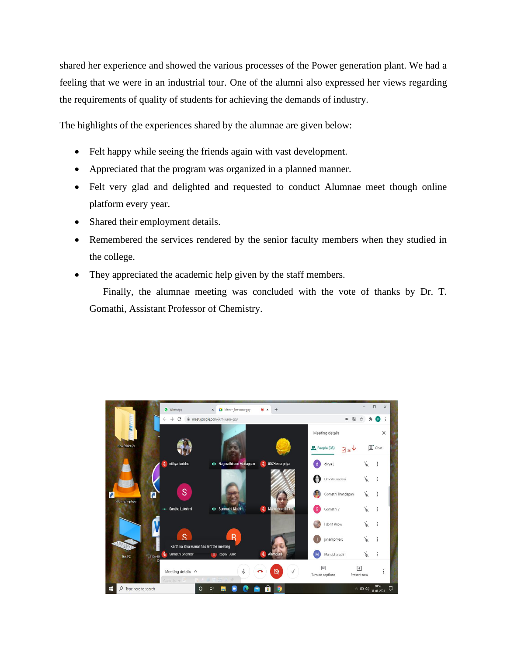shared her experience and showed the various processes of the Power generation plant. We had a feeling that we were in an industrial tour. One of the alumni also expressed her views regarding the requirements of quality of students for achieving the demands of industry.

The highlights of the experiences shared by the alumnae are given below:

- Felt happy while seeing the friends again with vast development.
- Appreciated that the program was organized in a planned manner.
- Felt very glad and delighted and requested to conduct Alumnae meet though online platform every year.
- Shared their employment details.
- Remembered the services rendered by the senior faculty members when they studied in the college.
- They appreciated the academic help given by the staff members.

Finally, the alumnae meeting was concluded with the vote of thanks by Dr. T. Gomathi, Assistant Professor of Chemistry.